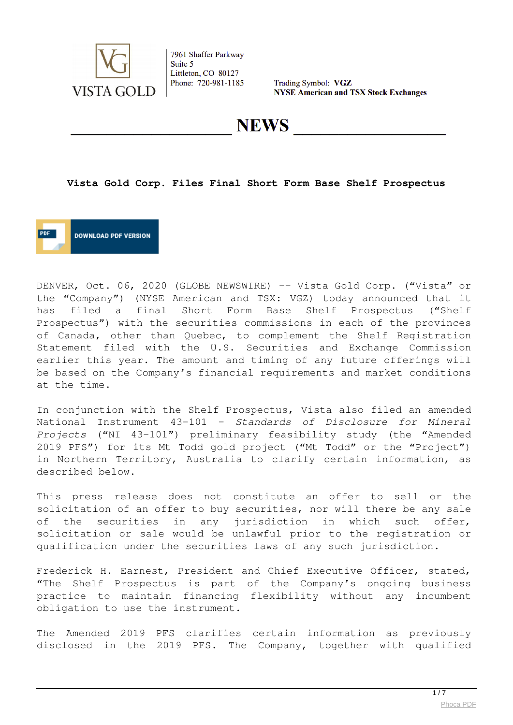

Trading Symbol: VGZ **NYSE American and TSX Stock Exchanges** 

**NEWS** 

#### **Vista Gold Corp. Files Final Short Form Base Shelf Prospectus**



DENVER, Oct. 06, 2020 (GLOBE NEWSWIRE) -- Vista Gold Corp. ("Vista" or the "Company") (NYSE American and TSX: VGZ) today announced that it has filed a final Short Form Base Shelf Prospectus ("Shelf Prospectus") with the securities commissions in each of the provinces of Canada, other than Quebec, to complement the Shelf Registration Statement filed with the U.S. Securities and Exchange Commission earlier this year. The amount and timing of any future offerings will be based on the Company's financial requirements and market conditions at the time.

In conjunction with the Shelf Prospectus, Vista also filed an amended National Instrument 43-101 – *Standards of Disclosure for Mineral Projects* ("NI 43-101") preliminary feasibility study (the "Amended 2019 PFS") for its Mt Todd gold project ("Mt Todd" or the "Project") in Northern Territory, Australia to clarify certain information, as described below.

This press release does not constitute an offer to sell or the solicitation of an offer to buy securities, nor will there be any sale of the securities in any jurisdiction in which such offer, solicitation or sale would be unlawful prior to the registration or qualification under the securities laws of any such jurisdiction.

Frederick H. Earnest, President and Chief Executive Officer, stated, "The Shelf Prospectus is part of the Company's ongoing business practice to maintain financing flexibility without any incumbent obligation to use the instrument.

The Amended 2019 PFS clarifies certain information as previously disclosed in the 2019 PFS. The Company, together with qualified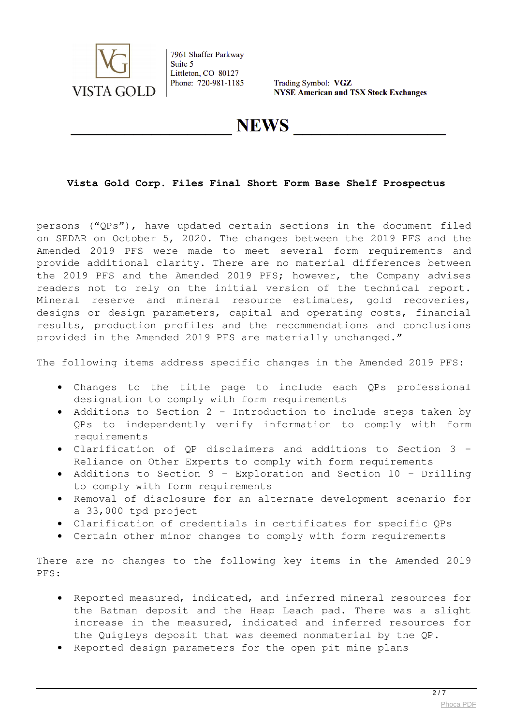

Trading Symbol: VGZ **NYSE American and TSX Stock Exchanges** 

# **NEWS**

# **Vista Gold Corp. Files Final Short Form Base Shelf Prospectus**

persons ("QPs"), have updated certain sections in the document filed on SEDAR on October 5, 2020. The changes between the 2019 PFS and the Amended 2019 PFS were made to meet several form requirements and provide additional clarity. There are no material differences between the 2019 PFS and the Amended 2019 PFS; however, the Company advises readers not to rely on the initial version of the technical report. Mineral reserve and mineral resource estimates, gold recoveries, designs or design parameters, capital and operating costs, financial results, production profiles and the recommendations and conclusions provided in the Amended 2019 PFS are materially unchanged."

The following items address specific changes in the Amended 2019 PFS:

- Changes to the title page to include each QPs professional designation to comply with form requirements
- Additions to Section 2 Introduction to include steps taken by QPs to independently verify information to comply with form requirements
- Clarification of QP disclaimers and additions to Section 3 Reliance on Other Experts to comply with form requirements
- Additions to Section 9 Exploration and Section 10 Drilling to comply with form requirements
- Removal of disclosure for an alternate development scenario for a 33,000 tpd project
- Clarification of credentials in certificates for specific QPs
- Certain other minor changes to comply with form requirements

There are no changes to the following key items in the Amended 2019 PFS:

- Reported measured, indicated, and inferred mineral resources for the Batman deposit and the Heap Leach pad. There was a slight increase in the measured, indicated and inferred resources for the Quigleys deposit that was deemed nonmaterial by the QP.
- Reported design parameters for the open pit mine plans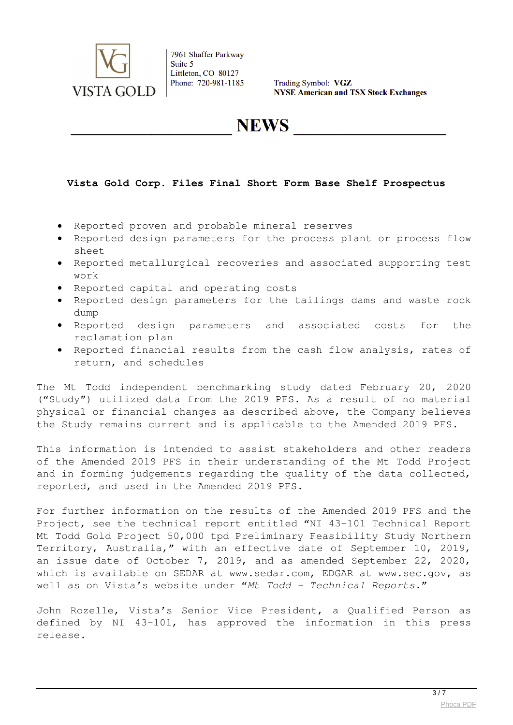

Trading Symbol: VGZ **NYSE American and TSX Stock Exchanges** 

**NEWS** 

### **Vista Gold Corp. Files Final Short Form Base Shelf Prospectus**

- Reported proven and probable mineral reserves
- Reported design parameters for the process plant or process flow sheet
- Reported metallurgical recoveries and associated supporting test work
- Reported capital and operating costs
- Reported design parameters for the tailings dams and waste rock dump
- Reported design parameters and associated costs for the reclamation plan
- Reported financial results from the cash flow analysis, rates of return, and schedules

The Mt Todd independent benchmarking study dated February 20, 2020 ("Study") utilized data from the 2019 PFS. As a result of no material physical or financial changes as described above, the Company believes the Study remains current and is applicable to the Amended 2019 PFS.

This information is intended to assist stakeholders and other readers of the Amended 2019 PFS in their understanding of the Mt Todd Project and in forming judgements regarding the quality of the data collected, reported, and used in the Amended 2019 PFS.

For further information on the results of the Amended 2019 PFS and the Project, see the technical report entitled "NI 43-101 Technical Report Mt Todd Gold Project 50,000 tpd Preliminary Feasibility Study Northern Territory, Australia," with an effective date of September 10, 2019, an issue date of October 7, 2019, and as amended September 22, 2020, which is available on SEDAR at www.sedar.com, EDGAR at www.sec.gov, as well as on Vista's website under "*Mt Todd – Technical Reports.*"

John Rozelle, Vista's Senior Vice President, a Qualified Person as defined by NI 43-101, has approved the information in this press release.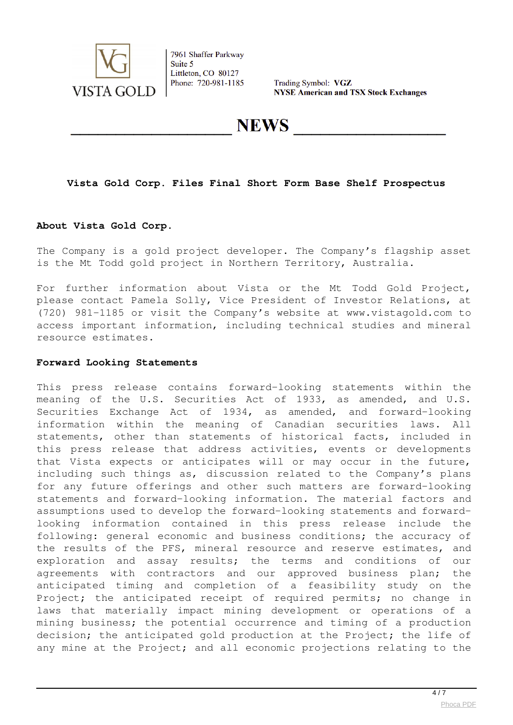

Trading Symbol: VGZ **NYSE American and TSX Stock Exchanges** 

**NEWS** 

### **Vista Gold Corp. Files Final Short Form Base Shelf Prospectus**

#### **About Vista Gold Corp.**

The Company is a gold project developer. The Company's flagship asset is the Mt Todd gold project in Northern Territory, Australia.

For further information about Vista or the Mt Todd Gold Project, please contact Pamela Solly, Vice President of Investor Relations, at (720) 981-1185 or visit the Company's website at www.vistagold.com to access important information, including technical studies and mineral resource estimates.

#### **Forward Looking Statements**

This press release contains forward-looking statements within the meaning of the U.S. Securities Act of 1933, as amended, and U.S. Securities Exchange Act of 1934, as amended, and forward-looking information within the meaning of Canadian securities laws. All statements, other than statements of historical facts, included in this press release that address activities, events or developments that Vista expects or anticipates will or may occur in the future, including such things as, discussion related to the Company's plans for any future offerings and other such matters are forward-looking statements and forward-looking information. The material factors and assumptions used to develop the forward-looking statements and forwardlooking information contained in this press release include the following: general economic and business conditions; the accuracy of the results of the PFS, mineral resource and reserve estimates, and exploration and assay results; the terms and conditions of our agreements with contractors and our approved business plan; the anticipated timing and completion of a feasibility study on the Project; the anticipated receipt of required permits; no change in laws that materially impact mining development or operations of a mining business; the potential occurrence and timing of a production decision; the anticipated gold production at the Project; the life of any mine at the Project; and all economic projections relating to the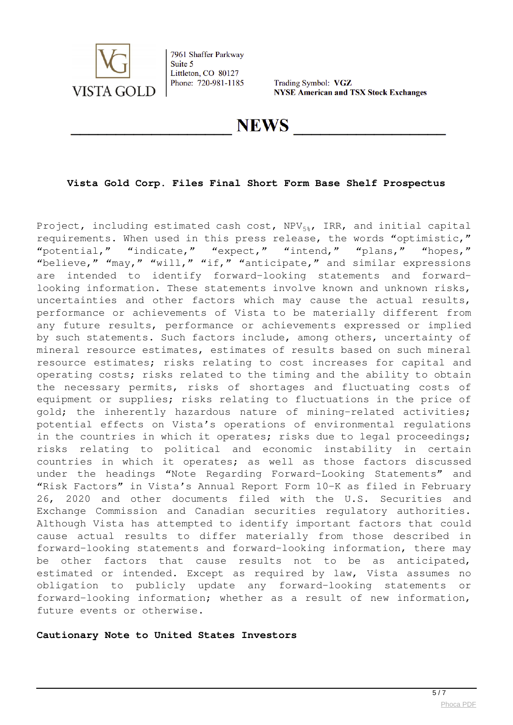

Trading Symbol: VGZ **NYSE American and TSX Stock Exchanges** 

# **NEWS**

### **Vista Gold Corp. Files Final Short Form Base Shelf Prospectus**

Project, including estimated cash cost,  $NPV_{5*}$ , IRR, and initial capital requirements. When used in this press release, the words "optimistic," "potential," "indicate," "expect," "intend," "plans," "hopes," "believe," "may," "will," "if," "anticipate," and similar expressions are intended to identify forward-looking statements and forwardlooking information. These statements involve known and unknown risks, uncertainties and other factors which may cause the actual results, performance or achievements of Vista to be materially different from any future results, performance or achievements expressed or implied by such statements. Such factors include, among others, uncertainty of mineral resource estimates, estimates of results based on such mineral resource estimates; risks relating to cost increases for capital and operating costs; risks related to the timing and the ability to obtain the necessary permits, risks of shortages and fluctuating costs of equipment or supplies; risks relating to fluctuations in the price of gold; the inherently hazardous nature of mining-related activities; potential effects on Vista's operations of environmental regulations in the countries in which it operates; risks due to legal proceedings; risks relating to political and economic instability in certain countries in which it operates; as well as those factors discussed under the headings "Note Regarding Forward-Looking Statements" and "Risk Factors" in Vista's Annual Report Form 10-K as filed in February 26, 2020 and other documents filed with the U.S. Securities and Exchange Commission and Canadian securities regulatory authorities. Although Vista has attempted to identify important factors that could cause actual results to differ materially from those described in forward-looking statements and forward-looking information, there may be other factors that cause results not to be as anticipated, estimated or intended. Except as required by law, Vista assumes no obligation to publicly update any forward-looking statements or forward-looking information; whether as a result of new information, future events or otherwise.

**Cautionary Note to United States Investors**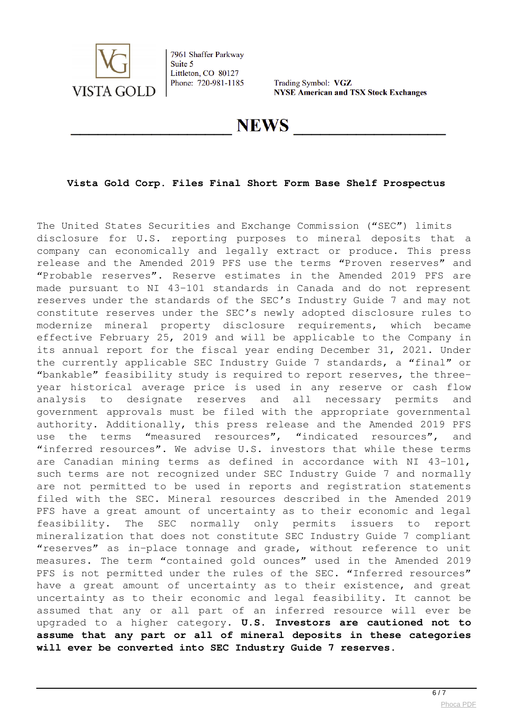

Trading Symbol: VGZ **NYSE American and TSX Stock Exchanges** 

# **NEWS**

# **Vista Gold Corp. Files Final Short Form Base Shelf Prospectus**

The United States Securities and Exchange Commission ("SEC") limits disclosure for U.S. reporting purposes to mineral deposits that a company can economically and legally extract or produce. This press release and the Amended 2019 PFS use the terms "Proven reserves" and "Probable reserves". Reserve estimates in the Amended 2019 PFS are made pursuant to NI 43-101 standards in Canada and do not represent reserves under the standards of the SEC's Industry Guide 7 and may not constitute reserves under the SEC's newly adopted disclosure rules to modernize mineral property disclosure requirements, which became effective February 25, 2019 and will be applicable to the Company in its annual report for the fiscal year ending December 31, 2021. Under the currently applicable SEC Industry Guide 7 standards, a "final" or "bankable" feasibility study is required to report reserves, the threeyear historical average price is used in any reserve or cash flow analysis to designate reserves and all necessary permits and government approvals must be filed with the appropriate governmental authority. Additionally, this press release and the Amended 2019 PFS use the terms "measured resources", "indicated resources", and "inferred resources". We advise U.S. investors that while these terms are Canadian mining terms as defined in accordance with NI 43-101, such terms are not recognized under SEC Industry Guide 7 and normally are not permitted to be used in reports and registration statements filed with the SEC. Mineral resources described in the Amended 2019 PFS have a great amount of uncertainty as to their economic and legal feasibility. The SEC normally only permits issuers to report mineralization that does not constitute SEC Industry Guide 7 compliant "reserves" as in-place tonnage and grade, without reference to unit measures. The term "contained gold ounces" used in the Amended 2019 PFS is not permitted under the rules of the SEC. "Inferred resources" have a great amount of uncertainty as to their existence, and great uncertainty as to their economic and legal feasibility. It cannot be assumed that any or all part of an inferred resource will ever be upgraded to a higher category. **U.S. Investors are cautioned not to assume that any part or all of mineral deposits in these categories will ever be converted into SEC Industry Guide 7 reserves.**

 $6/7$